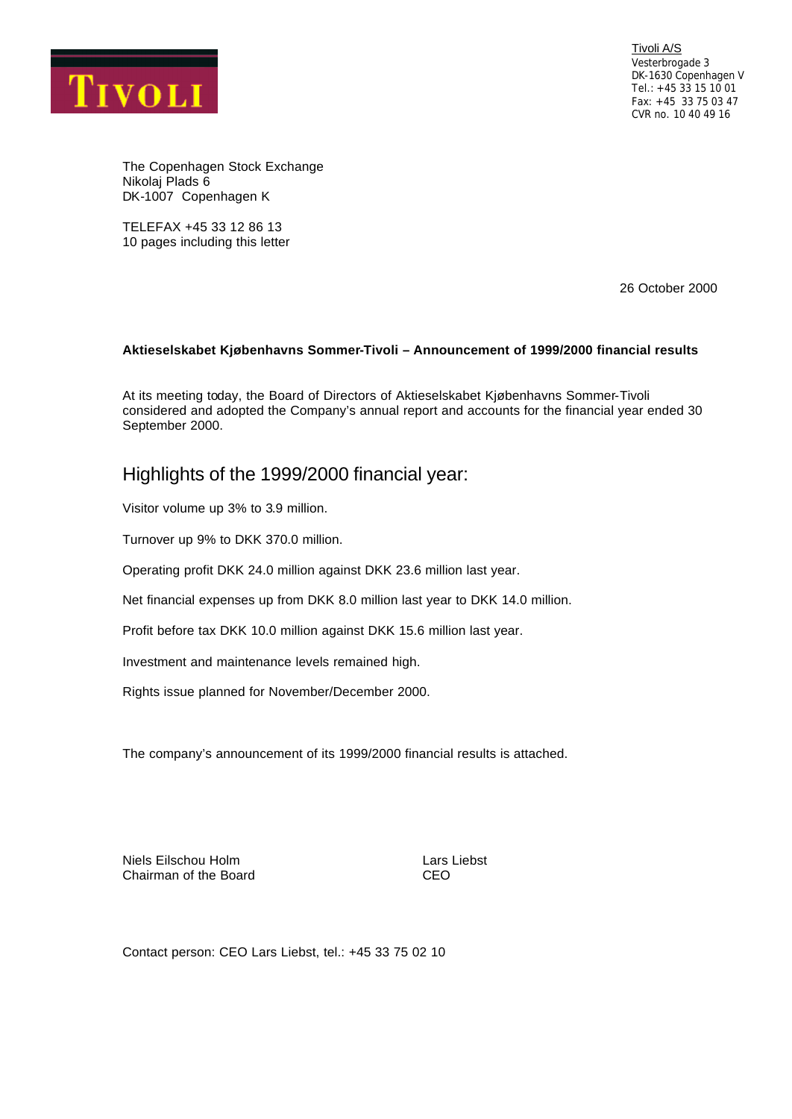

Tivoli A/S Vesterbrogade 3 DK-1630 Copenhagen V Tel.: +45 33 15 10 01 Fax: +45 33 75 03 47 CVR no. 10 40 49 16

The Copenhagen Stock Exchange Nikolaj Plads 6 DK-1007 Copenhagen K

TELEFAX +45 33 12 86 13 10 pages including this letter

26 October 2000

## **Aktieselskabet Kjøbenhavns Sommer-Tivoli – Announcement of 1999/2000 financial results**

At its meeting today, the Board of Directors of Aktieselskabet Kjøbenhavns Sommer-Tivoli considered and adopted the Company's annual report and accounts for the financial year ended 30 September 2000.

## Highlights of the 1999/2000 financial year:

Visitor volume up 3% to 3.9 million.

Turnover up 9% to DKK 370.0 million.

Operating profit DKK 24.0 million against DKK 23.6 million last year.

Net financial expenses up from DKK 8.0 million last year to DKK 14.0 million.

Profit before tax DKK 10.0 million against DKK 15.6 million last year.

Investment and maintenance levels remained high.

Rights issue planned for November/December 2000.

The company's announcement of its 1999/2000 financial results is attached.

Niels Eilschou Holm **Lars Liebst** Chairman of the Board CEO

Contact person: CEO Lars Liebst, tel.: +45 33 75 02 10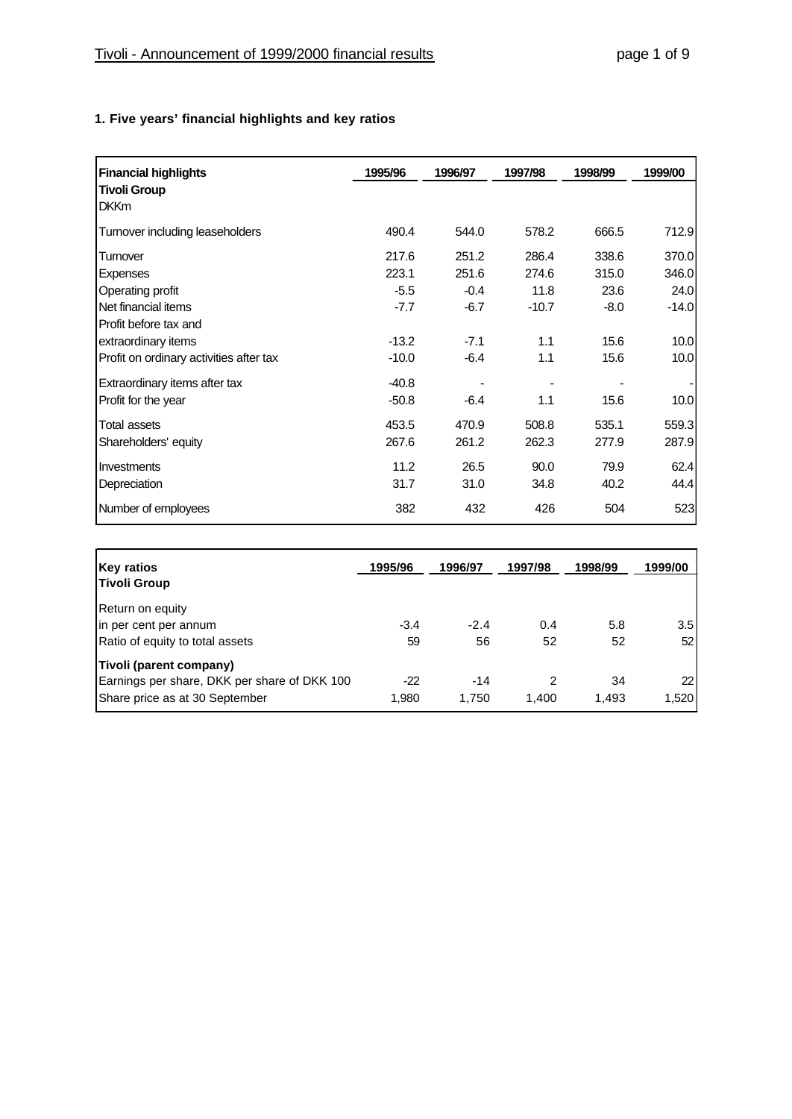# **1. Five years' financial highlights and key ratios**

| <b>Financial highlights</b>             | 1995/96 | 1996/97 | 1997/98 | 1998/99 | 1999/00 |
|-----------------------------------------|---------|---------|---------|---------|---------|
| <b>Tivoli Group</b>                     |         |         |         |         |         |
| <b>DKKm</b>                             |         |         |         |         |         |
| Turnover including leaseholders         | 490.4   | 544.0   | 578.2   | 666.5   | 712.9   |
| Turnover                                | 217.6   | 251.2   | 286.4   | 338.6   | 370.0   |
| Expenses                                | 223.1   | 251.6   | 274.6   | 315.0   | 346.0   |
| Operating profit                        | $-5.5$  | $-0.4$  | 11.8    | 23.6    | 24.0    |
| Net financial items                     | $-7.7$  | $-6.7$  | $-10.7$ | -8.0    | $-14.0$ |
| Profit before tax and                   |         |         |         |         |         |
| extraordinary items                     | $-13.2$ | $-7.1$  | 1.1     | 15.6    | 10.0    |
| Profit on ordinary activities after tax | $-10.0$ | $-6.4$  | 1.1     | 15.6    | 10.0    |
| Extraordinary items after tax           | $-40.8$ |         |         |         |         |
| Profit for the year                     | $-50.8$ | -6.4    | 1.1     | 15.6    | 10.0    |
| Total assets                            | 453.5   | 470.9   | 508.8   | 535.1   | 559.3   |
| Shareholders' equity                    | 267.6   | 261.2   | 262.3   | 277.9   | 287.9   |
| <b>Investments</b>                      | 11.2    | 26.5    | 90.0    | 79.9    | 62.4    |
| Depreciation                            | 31.7    | 31.0    | 34.8    | 40.2    | 44.4    |
| Number of employees                     | 382     | 432     | 426     | 504     | 523     |

| <b>Key ratios</b><br>Tivoli Group            | 1995/96 | 1996/97 | 1997/98 | 1998/99 | 1999/00 |
|----------------------------------------------|---------|---------|---------|---------|---------|
| Return on equity                             |         |         |         |         |         |
| in per cent per annum                        | $-3.4$  | $-2.4$  | 0.4     | 5.8     | 3.5     |
| Ratio of equity to total assets              | 59      | 56      | 52      | 52      | 52      |
| <b>Tivoli (parent company)</b>               |         |         |         |         |         |
| Earnings per share, DKK per share of DKK 100 | -22     | -14     | 2       | 34      | 22      |
| Share price as at 30 September               | 1.980   | 1.750   | 1.400   | 1.493   | 1,520   |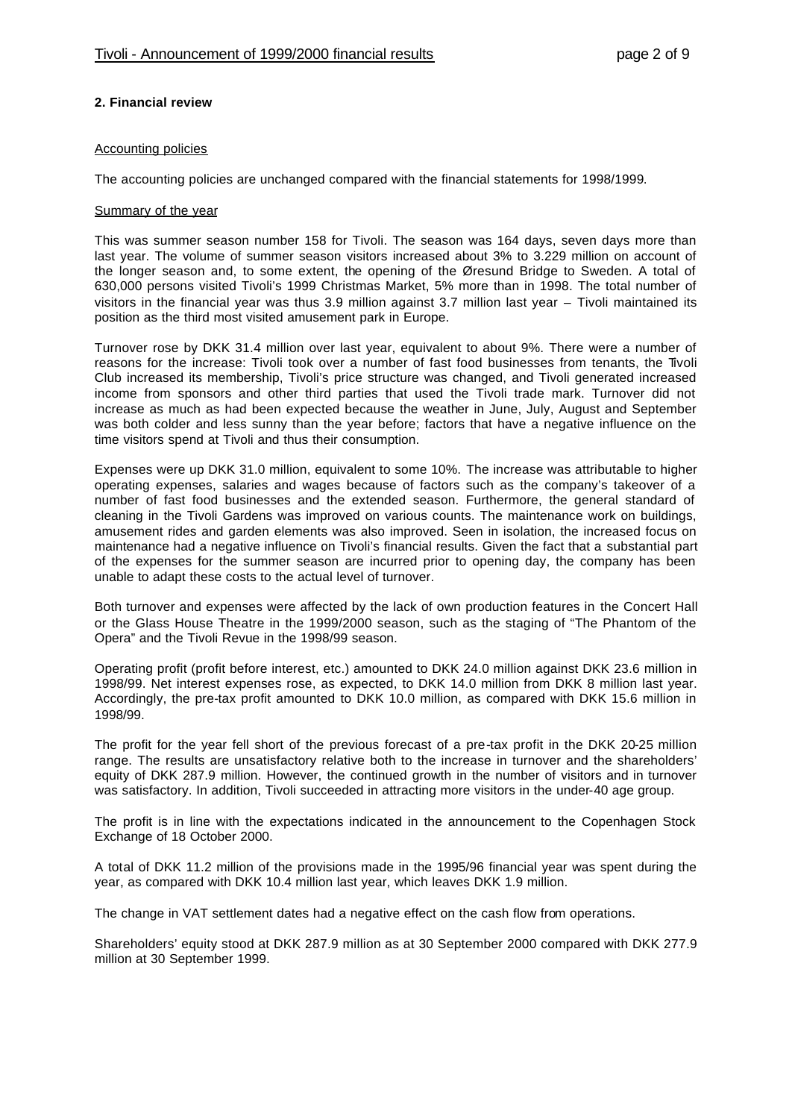## **2. Financial review**

#### Accounting policies

The accounting policies are unchanged compared with the financial statements for 1998/1999.

#### Summary of the year

This was summer season number 158 for Tivoli. The season was 164 days, seven days more than last year. The volume of summer season visitors increased about 3% to 3.229 million on account of the longer season and, to some extent, the opening of the Øresund Bridge to Sweden. A total of 630,000 persons visited Tivoli's 1999 Christmas Market, 5% more than in 1998. The total number of visitors in the financial year was thus 3.9 million against 3.7 million last year – Tivoli maintained its position as the third most visited amusement park in Europe.

Turnover rose by DKK 31.4 million over last year, equivalent to about 9%. There were a number of reasons for the increase: Tivoli took over a number of fast food businesses from tenants, the Tivoli Club increased its membership, Tivoli's price structure was changed, and Tivoli generated increased income from sponsors and other third parties that used the Tivoli trade mark. Turnover did not increase as much as had been expected because the weather in June, July, August and September was both colder and less sunny than the year before; factors that have a negative influence on the time visitors spend at Tivoli and thus their consumption.

Expenses were up DKK 31.0 million, equivalent to some 10%. The increase was attributable to higher operating expenses, salaries and wages because of factors such as the company's takeover of a number of fast food businesses and the extended season. Furthermore, the general standard of cleaning in the Tivoli Gardens was improved on various counts. The maintenance work on buildings, amusement rides and garden elements was also improved. Seen in isolation, the increased focus on maintenance had a negative influence on Tivoli's financial results. Given the fact that a substantial part of the expenses for the summer season are incurred prior to opening day, the company has been unable to adapt these costs to the actual level of turnover.

Both turnover and expenses were affected by the lack of own production features in the Concert Hall or the Glass House Theatre in the 1999/2000 season, such as the staging of "The Phantom of the Opera" and the Tivoli Revue in the 1998/99 season.

Operating profit (profit before interest, etc.) amounted to DKK 24.0 million against DKK 23.6 million in 1998/99. Net interest expenses rose, as expected, to DKK 14.0 million from DKK 8 million last year. Accordingly, the pre-tax profit amounted to DKK 10.0 million, as compared with DKK 15.6 million in 1998/99.

The profit for the year fell short of the previous forecast of a pre-tax profit in the DKK 20-25 million range. The results are unsatisfactory relative both to the increase in turnover and the shareholders' equity of DKK 287.9 million. However, the continued growth in the number of visitors and in turnover was satisfactory. In addition, Tivoli succeeded in attracting more visitors in the under-40 age group.

The profit is in line with the expectations indicated in the announcement to the Copenhagen Stock Exchange of 18 October 2000.

A total of DKK 11.2 million of the provisions made in the 1995/96 financial year was spent during the year, as compared with DKK 10.4 million last year, which leaves DKK 1.9 million.

The change in VAT settlement dates had a negative effect on the cash flow from operations.

Shareholders' equity stood at DKK 287.9 million as at 30 September 2000 compared with DKK 277.9 million at 30 September 1999.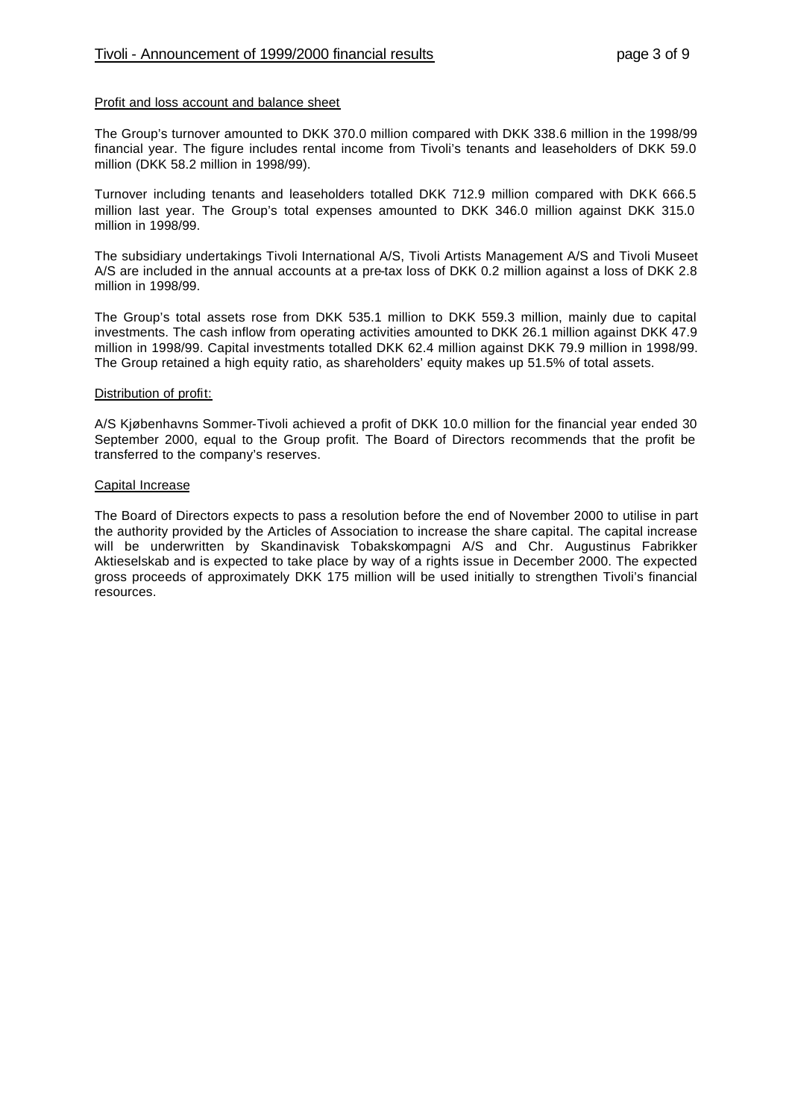#### Profit and loss account and balance sheet

The Group's turnover amounted to DKK 370.0 million compared with DKK 338.6 million in the 1998/99 financial year. The figure includes rental income from Tivoli's tenants and leaseholders of DKK 59.0 million (DKK 58.2 million in 1998/99).

Turnover including tenants and leaseholders totalled DKK 712.9 million compared with DKK 666.5 million last year. The Group's total expenses amounted to DKK 346.0 million against DKK 315.0 million in 1998/99.

The subsidiary undertakings Tivoli International A/S, Tivoli Artists Management A/S and Tivoli Museet A/S are included in the annual accounts at a pre-tax loss of DKK 0.2 million against a loss of DKK 2.8 million in 1998/99.

The Group's total assets rose from DKK 535.1 million to DKK 559.3 million, mainly due to capital investments. The cash inflow from operating activities amounted to DKK 26.1 million against DKK 47.9 million in 1998/99. Capital investments totalled DKK 62.4 million against DKK 79.9 million in 1998/99. The Group retained a high equity ratio, as shareholders' equity makes up 51.5% of total assets.

#### Distribution of profit:

A/S Kjøbenhavns Sommer-Tivoli achieved a profit of DKK 10.0 million for the financial year ended 30 September 2000, equal to the Group profit. The Board of Directors recommends that the profit be transferred to the company's reserves.

#### Capital Increase

The Board of Directors expects to pass a resolution before the end of November 2000 to utilise in part the authority provided by the Articles of Association to increase the share capital. The capital increase will be underwritten by Skandinavisk Tobakskompagni A/S and Chr. Augustinus Fabrikker Aktieselskab and is expected to take place by way of a rights issue in December 2000. The expected gross proceeds of approximately DKK 175 million will be used initially to strengthen Tivoli's financial resources.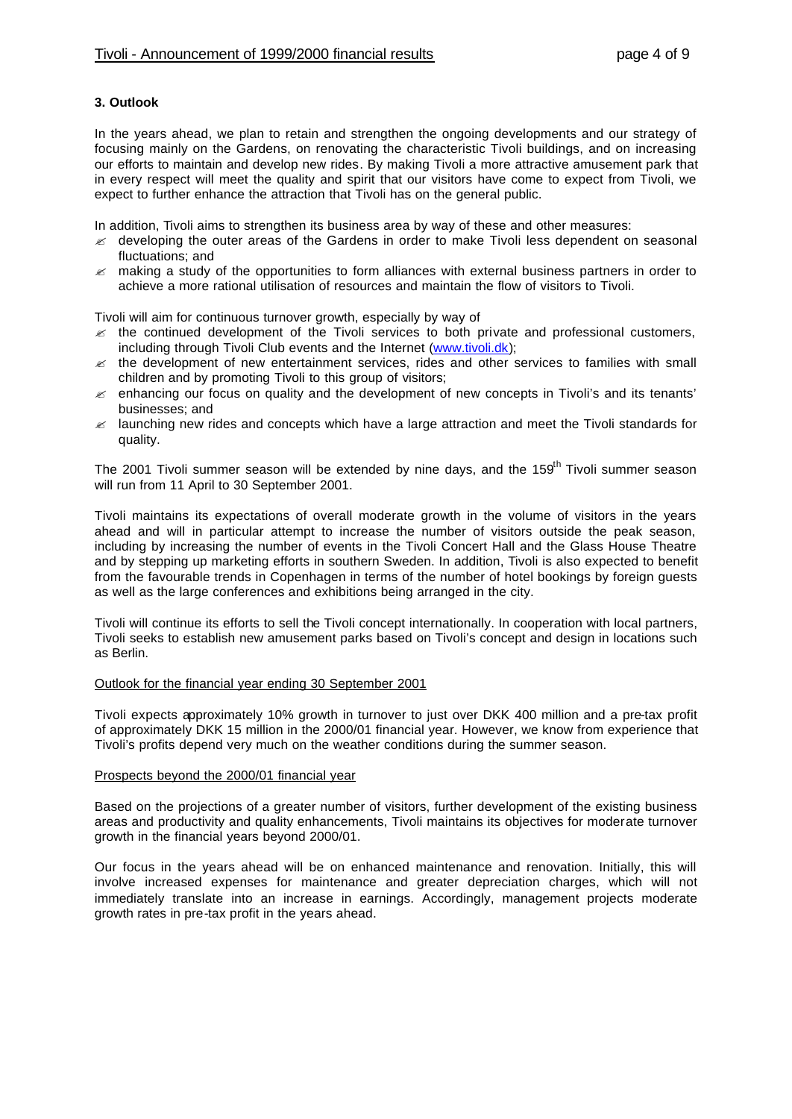### **3. Outlook**

In the years ahead, we plan to retain and strengthen the ongoing developments and our strategy of focusing mainly on the Gardens, on renovating the characteristic Tivoli buildings, and on increasing our efforts to maintain and develop new rides. By making Tivoli a more attractive amusement park that in every respect will meet the quality and spirit that our visitors have come to expect from Tivoli, we expect to further enhance the attraction that Tivoli has on the general public.

In addition, Tivoli aims to strengthen its business area by way of these and other measures:

- $\epsilon$  developing the outer areas of the Gardens in order to make Tivoli less dependent on seasonal fluctuations; and
- $\approx$  making a study of the opportunities to form alliances with external business partners in order to achieve a more rational utilisation of resources and maintain the flow of visitors to Tivoli.

Tivoli will aim for continuous turnover growth, especially by way of

- $\epsilon$  the continued development of the Tivoli services to both private and professional customers, including through Tivoli Club events and the Internet (www.tivoli.dk);
- $\epsilon$  the development of new entertainment services, rides and other services to families with small children and by promoting Tivoli to this group of visitors;
- $\epsilon$  enhancing our focus on quality and the development of new concepts in Tivoli's and its tenants' businesses; and
- $\approx$  launching new rides and concepts which have a large attraction and meet the Tivoli standards for quality.

The 2001 Tivoli summer season will be extended by nine days, and the 159<sup>th</sup> Tivoli summer season will run from 11 April to 30 September 2001.

Tivoli maintains its expectations of overall moderate growth in the volume of visitors in the years ahead and will in particular attempt to increase the number of visitors outside the peak season, including by increasing the number of events in the Tivoli Concert Hall and the Glass House Theatre and by stepping up marketing efforts in southern Sweden. In addition, Tivoli is also expected to benefit from the favourable trends in Copenhagen in terms of the number of hotel bookings by foreign guests as well as the large conferences and exhibitions being arranged in the city.

Tivoli will continue its efforts to sell the Tivoli concept internationally. In cooperation with local partners, Tivoli seeks to establish new amusement parks based on Tivoli's concept and design in locations such as Berlin.

### Outlook for the financial year ending 30 September 2001

Tivoli expects approximately 10% growth in turnover to just over DKK 400 million and a pre-tax profit of approximately DKK 15 million in the 2000/01 financial year. However, we know from experience that Tivoli's profits depend very much on the weather conditions during the summer season.

#### Prospects beyond the 2000/01 financial year

Based on the projections of a greater number of visitors, further development of the existing business areas and productivity and quality enhancements, Tivoli maintains its objectives for moderate turnover growth in the financial years beyond 2000/01.

Our focus in the years ahead will be on enhanced maintenance and renovation. Initially, this will involve increased expenses for maintenance and greater depreciation charges, which will not immediately translate into an increase in earnings. Accordingly, management projects moderate growth rates in pre-tax profit in the years ahead.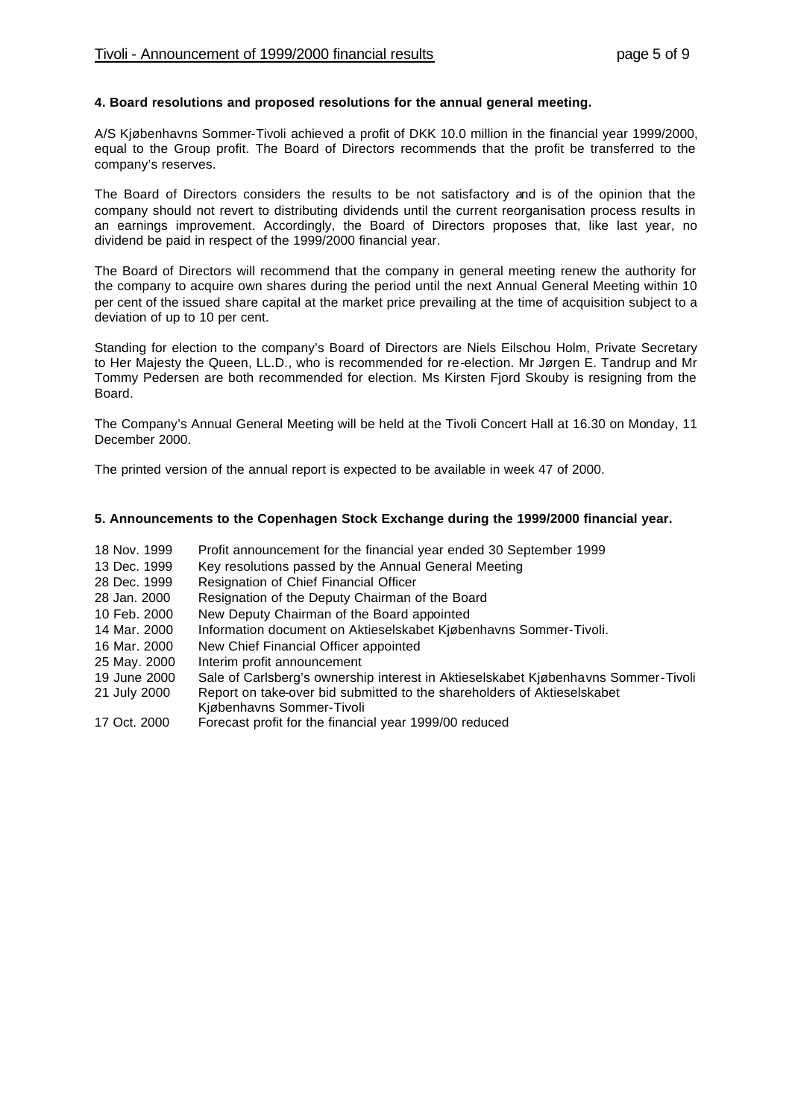## **4. Board resolutions and proposed resolutions for the annual general meeting.**

A/S Kjøbenhavns Sommer-Tivoli achieved a profit of DKK 10.0 million in the financial year 1999/2000, equal to the Group profit. The Board of Directors recommends that the profit be transferred to the company's reserves.

The Board of Directors considers the results to be not satisfactory and is of the opinion that the company should not revert to distributing dividends until the current reorganisation process results in an earnings improvement. Accordingly, the Board of Directors proposes that, like last year, no dividend be paid in respect of the 1999/2000 financial year.

The Board of Directors will recommend that the company in general meeting renew the authority for the company to acquire own shares during the period until the next Annual General Meeting within 10 per cent of the issued share capital at the market price prevailing at the time of acquisition subject to a deviation of up to 10 per cent.

Standing for election to the company's Board of Directors are Niels Eilschou Holm, Private Secretary to Her Majesty the Queen, LL.D., who is recommended for re-election. Mr Jørgen E. Tandrup and Mr Tommy Pedersen are both recommended for election. Ms Kirsten Fjord Skouby is resigning from the Board.

The Company's Annual General Meeting will be held at the Tivoli Concert Hall at 16.30 on Monday, 11 December 2000.

The printed version of the annual report is expected to be available in week 47 of 2000.

## **5. Announcements to the Copenhagen Stock Exchange during the 1999/2000 financial year.**

- 18 Nov. 1999 Profit announcement for the financial year ended 30 September 1999
- 13 Dec. 1999 Key resolutions passed by the Annual General Meeting
- 28 Dec. 1999 Resignation of Chief Financial Officer
- 28 Jan. 2000 Resignation of the Deputy Chairman of the Board
- 10 Feb. 2000 New Deputy Chairman of the Board appointed
- 14 Mar. 2000 Information document on Aktieselskabet Kjøbenhavns Sommer-Tivoli.
- 16 Mar. 2000 New Chief Financial Officer appointed
- 25 May. 2000 Interim profit announcement
- 19 June 2000 Sale of Carlsberg's ownership interest in Aktieselskabet Kjøbenhavns Sommer-Tivoli
- 21 July 2000 Report on take-over bid submitted to the shareholders of Aktieselskabet Kjøbenhavns Sommer-Tivoli
- 17 Oct. 2000 Forecast profit for the financial year 1999/00 reduced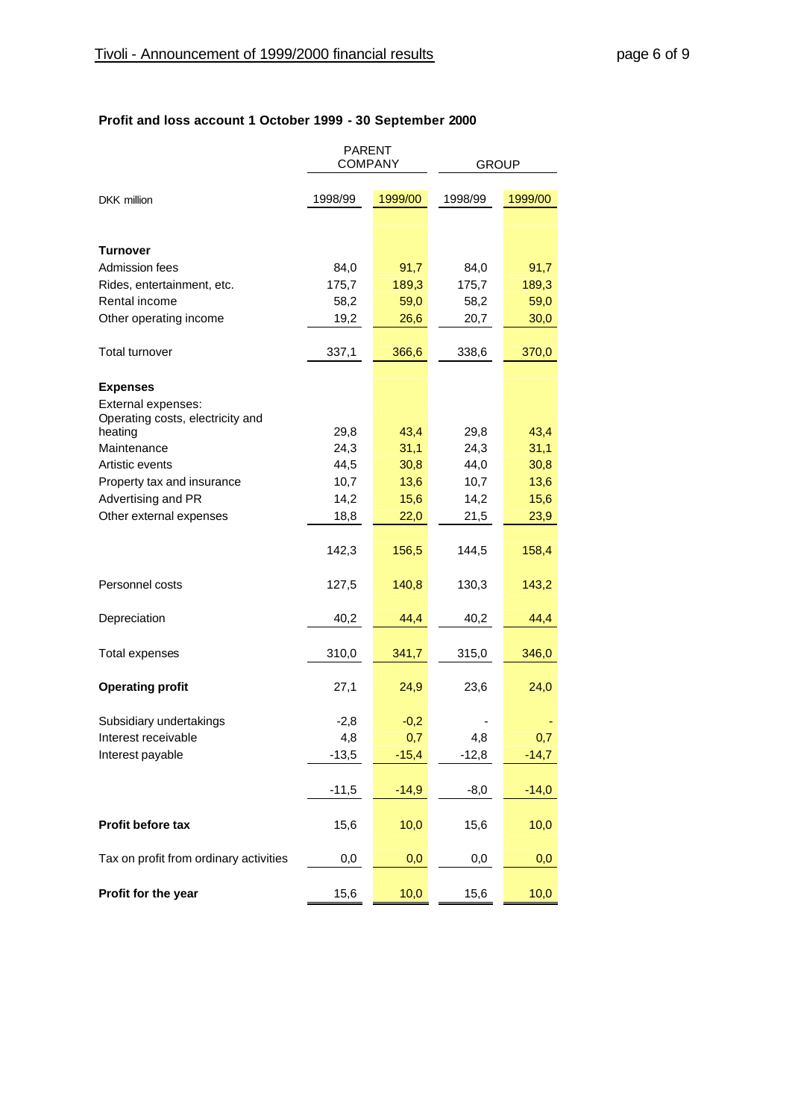## **Profit and loss account 1 October 1999 - 30 September 2000**

|                                                        | <b>PARENT</b><br><b>COMPANY</b> |         | <b>GROUP</b> |         |  |
|--------------------------------------------------------|---------------------------------|---------|--------------|---------|--|
| DKK million                                            | 1998/99                         | 1999/00 | 1998/99      | 1999/00 |  |
|                                                        |                                 |         |              |         |  |
| Turnover                                               |                                 |         |              |         |  |
| Admission fees                                         | 84,0                            | 91,7    | 84,0         | 91,7    |  |
| Rides, entertainment, etc.                             | 175,7                           | 189,3   | 175,7        | 189,3   |  |
| Rental income                                          | 58,2                            | 59,0    | 58,2         | 59,0    |  |
| Other operating income                                 | 19,2                            | 26,6    | 20,7         | 30,0    |  |
| <b>Total turnover</b>                                  | 337,1                           | 366,6   | 338,6        | 370,0   |  |
| <b>Expenses</b>                                        |                                 |         |              |         |  |
| External expenses:<br>Operating costs, electricity and |                                 |         |              |         |  |
| heating                                                | 29,8                            | 43,4    | 29,8         | 43,4    |  |
| Maintenance                                            | 24,3                            | 31,1    | 24,3         | 31,1    |  |
| Artistic events                                        | 44,5                            | 30,8    | 44,0         | 30,8    |  |
| Property tax and insurance                             | 10,7                            | 13,6    | 10,7         | 13,6    |  |
| Advertising and PR                                     | 14,2                            | 15,6    | 14,2         | 15,6    |  |
| Other external expenses                                | 18,8                            | 22,0    | 21,5         | 23,9    |  |
|                                                        | 142,3                           | 156,5   | 144,5        | 158,4   |  |
| Personnel costs                                        | 127,5                           | 140,8   | 130,3        | 143,2   |  |
| Depreciation                                           | 40,2                            | 44,4    | 40,2         | 44,4    |  |
| Total expenses                                         | 310,0                           | 341,7   | 315,0        | 346,0   |  |
| <b>Operating profit</b>                                | 27,1                            | 24,9    | 23,6         | 24,0    |  |
| Subsidiary undertakings                                | $-2,8$                          | $-0,2$  |              |         |  |
| Interest receivable                                    | 4,8                             | 0,7     | 4,8          | 0.7     |  |
| Interest payable                                       | $-13,5$                         | $-15,4$ | $-12,8$      | $-14,7$ |  |
|                                                        | $-11,5$                         | $-14,9$ | $-8,0$       | $-14,0$ |  |
| Profit before tax                                      | 15,6                            | 10,0    | 15,6         | 10,0    |  |
| Tax on profit from ordinary activities                 | 0,0                             | 0,0     | 0,0          | 0,0     |  |
| Profit for the year                                    | 15,6                            | 10,0    | 15,6         | 10,0    |  |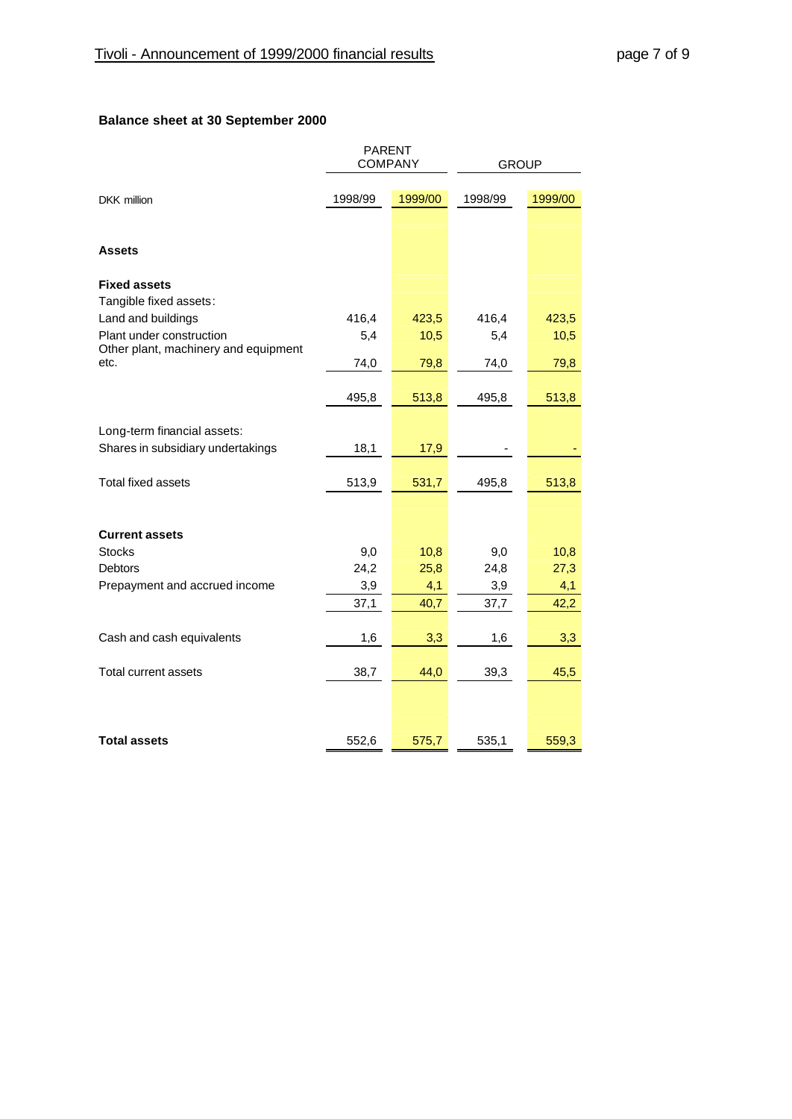## **Balance sheet at 30 September 2000**

|                                                                  | <b>PARENT</b><br><b>COMPANY</b> |         | <b>GROUP</b> |         |
|------------------------------------------------------------------|---------------------------------|---------|--------------|---------|
| <b>DKK</b> million                                               | 1998/99                         | 1999/00 | 1998/99      | 1999/00 |
|                                                                  |                                 |         |              |         |
| <b>Assets</b>                                                    |                                 |         |              |         |
| <b>Fixed assets</b><br>Tangible fixed assets:                    |                                 |         |              |         |
| Land and buildings                                               | 416,4                           | 423,5   | 416,4        | 423,5   |
| Plant under construction<br>Other plant, machinery and equipment | 5,4                             | 10,5    | 5,4          | 10,5    |
| etc.                                                             | 74,0                            | 79,8    | 74,0         | 79,8    |
|                                                                  | 495,8                           | 513,8   | 495,8        | 513,8   |
| Long-term financial assets:                                      |                                 |         |              |         |
| Shares in subsidiary undertakings                                | 18,1                            | 17,9    |              |         |
| <b>Total fixed assets</b>                                        | 513,9                           | 531,7   | 495,8        | 513,8   |
|                                                                  |                                 |         |              |         |
| <b>Current assets</b><br><b>Stocks</b>                           | 9,0                             | 10,8    | 9,0          | 10,8    |
| <b>Debtors</b>                                                   | 24,2                            | 25,8    | 24,8         | 27,3    |
| Prepayment and accrued income                                    | 3,9                             | 4,1     | 3,9          | 4,1     |
|                                                                  | 37,1                            | 40,7    | 37,7         | 42,2    |
| Cash and cash equivalents                                        | 1,6                             | 3,3     | 1,6          | 3,3     |
| <b>Total current assets</b>                                      | 38,7                            | 44,0    | 39,3         | 45,5    |
|                                                                  |                                 |         |              |         |
| <b>Total assets</b>                                              | 552,6                           | 575,7   | 535,1        | 559,3   |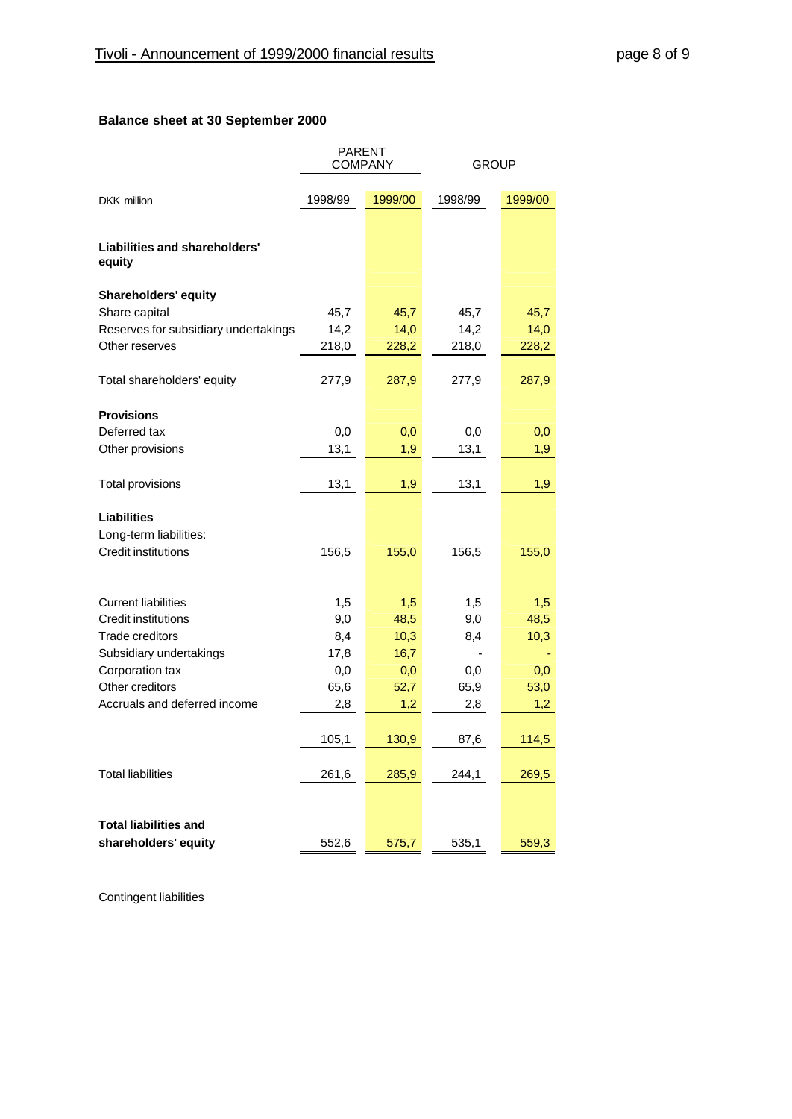## **Balance sheet at 30 September 2000**

|                                         | <b>PARENT</b><br><b>COMPANY</b> |         | <b>GROUP</b> |         |
|-----------------------------------------|---------------------------------|---------|--------------|---------|
| <b>DKK</b> million                      | 1998/99                         | 1999/00 | 1998/99      | 1999/00 |
| Liabilities and shareholders'<br>equity |                                 |         |              |         |
| <b>Shareholders' equity</b>             |                                 |         |              |         |
| Share capital                           | 45,7                            | 45,7    | 45,7         | 45,7    |
| Reserves for subsidiary undertakings    | 14,2                            | 14,0    | 14,2         | 14,0    |
| Other reserves                          | 218,0                           | 228,2   | 218,0        | 228,2   |
| Total shareholders' equity              | 277,9                           | 287,9   | 277,9        | 287,9   |
| <b>Provisions</b>                       |                                 |         |              |         |
| Deferred tax                            | 0,0                             | 0,0     | 0,0          | 0,0     |
| Other provisions                        | 13,1                            | 1,9     | 13,1         | 1,9     |
| <b>Total provisions</b>                 | 13,1                            | 1,9     | 13,1         | 1,9     |
| <b>Liabilities</b>                      |                                 |         |              |         |
| Long-term liabilities:                  |                                 |         |              |         |
| <b>Credit institutions</b>              | 156,5                           | 155,0   | 156,5        | 155,0   |
|                                         |                                 |         |              |         |
| <b>Current liabilities</b>              | 1,5                             | 1,5     | 1,5          | 1,5     |
| <b>Credit institutions</b>              | 9,0                             | 48,5    | 9,0          | 48,5    |
| <b>Trade creditors</b>                  | 8,4                             | 10,3    | 8,4          | 10,3    |
| Subsidiary undertakings                 | 17,8                            | 16,7    |              |         |
| Corporation tax                         | 0,0                             | 0,0     | 0,0          | 0,0     |
| Other creditors                         | 65,6                            | 52,7    | 65,9         | 53,0    |
| Accruals and deferred income            | 2,8                             | 1,2     | 2,8          | 1,2     |
|                                         | 105,1                           | 130,9   | 87,6         | 114,5   |
| <b>Total liabilities</b>                | 261,6                           | 285,9   | 244,1        | 269,5   |
|                                         |                                 |         |              |         |
| <b>Total liabilities and</b>            |                                 |         |              |         |
| shareholders' equity                    | 552,6                           | 575,7   | 535,1        | 559,3   |

Contingent liabilities